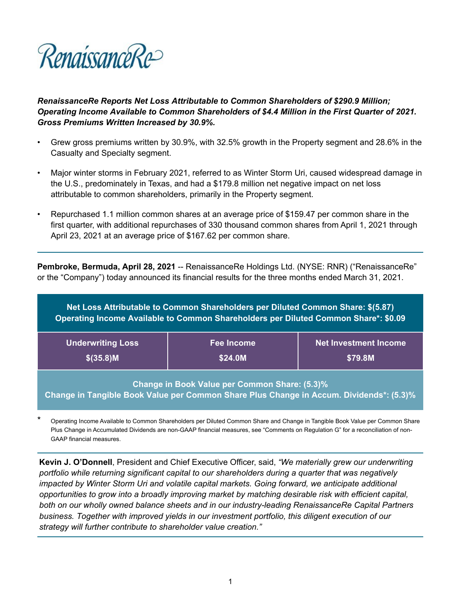

GAAP financial measures.

*RenaissanceRe Reports Net Loss Attributable to Common Shareholders of \$290.9 Million; Operating Income Available to Common Shareholders of \$4.4 Million in the First Quarter of 2021. Gross Premiums Written Increased by 30.9%.*

- Grew gross premiums written by 30.9%, with 32.5% growth in the Property segment and 28.6% in the Casualty and Specialty segment.
- Major winter storms in February 2021, referred to as Winter Storm Uri, caused widespread damage in the U.S., predominately in Texas, and had a \$179.8 million net negative impact on net loss attributable to common shareholders, primarily in the Property segment.
- Repurchased 1.1 million common shares at an average price of \$159.47 per common share in the first quarter, with additional repurchases of 330 thousand common shares from April 1, 2021 through April 23, 2021 at an average price of \$167.62 per common share.

**Pembroke, Bermuda, April 28, 2021** -- RenaissanceRe Holdings Ltd. (NYSE: RNR) ("RenaissanceRe" or the "Company") today announced its financial results for the three months ended March 31, 2021.

| <b>Underwriting Loss</b> | Fee Income                                                                                                                                      | <b>Net Investment Income</b> |
|--------------------------|-------------------------------------------------------------------------------------------------------------------------------------------------|------------------------------|
| $$$ (35.8)M              | \$24.0M                                                                                                                                         | \$79.8M                      |
|                          | <b>Change in Book Value per Common Share: (5.3)%</b><br>Change in Tangible Book Value per Common Share Plus Change in Accum. Dividends*: (5.3)% |                              |

**Kevin J. O'Donnell**, President and Chief Executive Officer, said, *"We materially grew our underwriting portfolio while returning significant capital to our shareholders during a quarter that was negatively impacted by Winter Storm Uri and volatile capital markets. Going forward, we anticipate additional opportunities to grow into a broadly improving market by matching desirable risk with efficient capital, both on our wholly owned balance sheets and in our industry-leading RenaissanceRe Capital Partners business. Together with improved yields in our investment portfolio, this diligent execution of our strategy will further contribute to shareholder value creation."*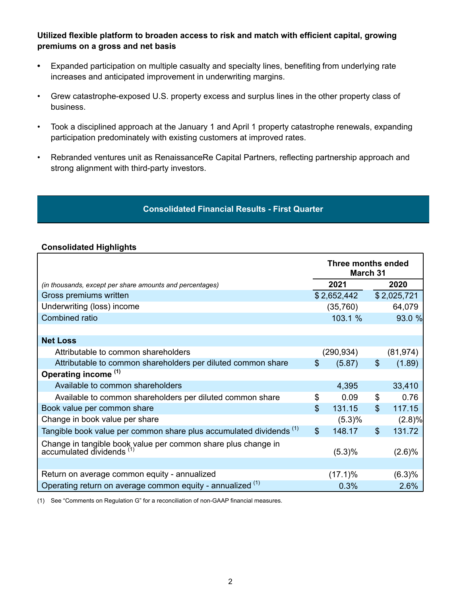**Utilized flexible platform to broaden access to risk and match with efficient capital, growing premiums on a gross and net basis** 

- **•** Expanded participation on multiple casualty and specialty lines, benefiting from underlying rate increases and anticipated improvement in underwriting margins.
- Grew catastrophe-exposed U.S. property excess and surplus lines in the other property class of business.
- Took a disciplined approach at the January 1 and April 1 property catastrophe renewals, expanding participation predominately with existing customers at improved rates.
- Rebranded ventures unit as RenaissanceRe Capital Partners, reflecting partnership approach and strong alignment with third-party investors.

## **Consolidated Financial Results - First Quarter**

#### **Consolidated Highlights**

|                                                                                                    |                |             | <b>Three months ended</b><br>March 31 |             |  |  |
|----------------------------------------------------------------------------------------------------|----------------|-------------|---------------------------------------|-------------|--|--|
| (in thousands, except per share amounts and percentages)                                           |                | 2021        |                                       | 2020        |  |  |
| Gross premiums written                                                                             |                | \$2,652,442 |                                       | \$2,025,721 |  |  |
| Underwriting (loss) income                                                                         |                | (35, 760)   |                                       | 64,079      |  |  |
| Combined ratio                                                                                     |                | 103.1 %     |                                       | 93.0%       |  |  |
|                                                                                                    |                |             |                                       |             |  |  |
| <b>Net Loss</b>                                                                                    |                |             |                                       |             |  |  |
| Attributable to common shareholders                                                                |                | (290, 934)  |                                       | (81, 974)   |  |  |
| Attributable to common shareholders per diluted common share                                       | \$             | (5.87)      | $\mathfrak{S}$                        | (1.89)      |  |  |
| Operating income <sup>(1)</sup>                                                                    |                |             |                                       |             |  |  |
| Available to common shareholders                                                                   |                | 4,395       |                                       | 33,410      |  |  |
| Available to common shareholders per diluted common share                                          | \$             | 0.09        | \$                                    | 0.76        |  |  |
| Book value per common share                                                                        | $\mathfrak{S}$ | 131.15      | $\mathbb{S}$                          | 117.15      |  |  |
| Change in book value per share                                                                     |                | (5.3)%      |                                       | (2.8)%      |  |  |
| Tangible book value per common share plus accumulated dividends (1)                                | \$             | 148.17      | $\mathfrak{L}$                        | 131.72      |  |  |
| Change in tangible book value per common share plus change in accumulated dividends <sup>(1)</sup> |                | (5.3)%      |                                       | (2.6)%      |  |  |
|                                                                                                    |                |             |                                       |             |  |  |
| Return on average common equity - annualized                                                       |                | $(17.1)\%$  |                                       | (6.3)%      |  |  |
| Operating return on average common equity - annualized (1)                                         |                | 0.3%        |                                       | 2.6%        |  |  |

(1) See "Comments on Regulation G" for a reconciliation of non-GAAP financial measures.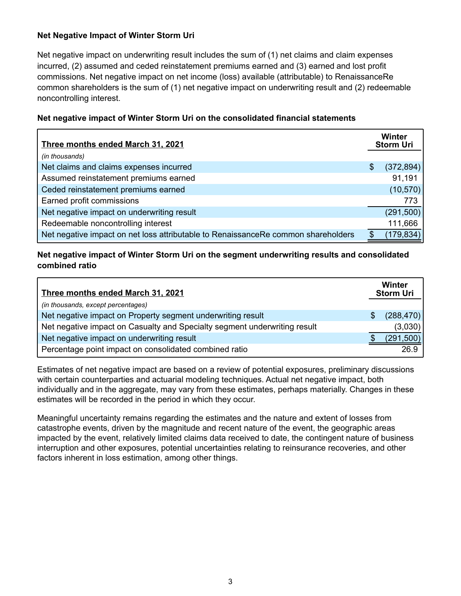## **Net Negative Impact of Winter Storm Uri**

Net negative impact on underwriting result includes the sum of (1) net claims and claim expenses incurred, (2) assumed and ceded reinstatement premiums earned and (3) earned and lost profit commissions. Net negative impact on net income (loss) available (attributable) to RenaissanceRe common shareholders is the sum of (1) net negative impact on underwriting result and (2) redeemable noncontrolling interest.

| <u>Net negative impact of whiter otonic ori on the consolidated imancial statements</u> |  |
|-----------------------------------------------------------------------------------------|--|
|                                                                                         |  |
| l Three months ended March 31. 2021                                                     |  |

#### **Net negative impact of Winter Storm Uri on the consolidated financial statements**

| Three months ended March 31, 2021                                                 | <b>Winter</b><br><b>Storm Uri</b> |            |  |  |
|-----------------------------------------------------------------------------------|-----------------------------------|------------|--|--|
| (in thousands)                                                                    |                                   |            |  |  |
| Net claims and claims expenses incurred                                           | \$                                | (372, 894) |  |  |
| Assumed reinstatement premiums earned                                             |                                   | 91,191     |  |  |
| Ceded reinstatement premiums earned                                               |                                   | (10, 570)  |  |  |
| Earned profit commissions                                                         |                                   | 773        |  |  |
| Net negative impact on underwriting result                                        |                                   | (291, 500) |  |  |
| Redeemable noncontrolling interest                                                |                                   | 111,666    |  |  |
| Net negative impact on net loss attributable to RenaissanceRe common shareholders |                                   | (179, 834) |  |  |

## **Net negative impact of Winter Storm Uri on the segment underwriting results and consolidated combined ratio**

| Three months ended March 31, 2021                                         | Winter<br><b>Storm Uri</b> |
|---------------------------------------------------------------------------|----------------------------|
| (in thousands, except percentages)                                        |                            |
| Net negative impact on Property segment underwriting result               | (288, 470)                 |
| Net negative impact on Casualty and Specialty segment underwriting result | $(3,030)$ $\vert$          |
| Net negative impact on underwriting result                                | (291, 500)                 |
| Percentage point impact on consolidated combined ratio                    | 26.9                       |

Estimates of net negative impact are based on a review of potential exposures, preliminary discussions with certain counterparties and actuarial modeling techniques. Actual net negative impact, both individually and in the aggregate, may vary from these estimates, perhaps materially. Changes in these estimates will be recorded in the period in which they occur.

Meaningful uncertainty remains regarding the estimates and the nature and extent of losses from catastrophe events, driven by the magnitude and recent nature of the event, the geographic areas impacted by the event, relatively limited claims data received to date, the contingent nature of business interruption and other exposures, potential uncertainties relating to reinsurance recoveries, and other factors inherent in loss estimation, among other things.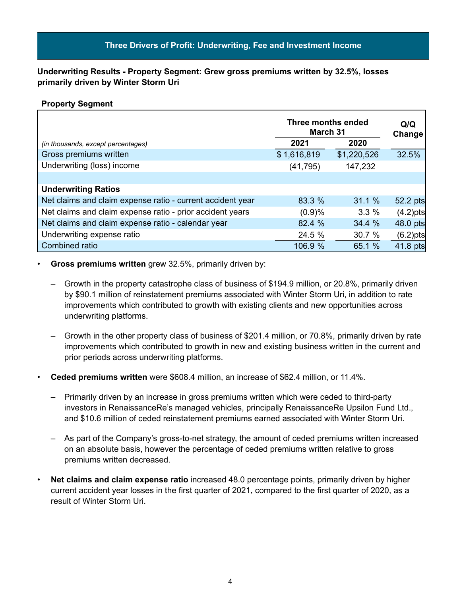## **Underwriting Results - Property Segment: Grew gross premiums written by 32.5%, losses primarily driven by Winter Storm Uri**

#### **Property Segment**

|                                                            | Three months ended<br>March 31 | Q/Q<br>Change |          |
|------------------------------------------------------------|--------------------------------|---------------|----------|
| (in thousands, except percentages)                         | 2021                           | 2020          |          |
| Gross premiums written                                     | \$1,616,819                    | \$1,220,526   | 32.5%    |
| Underwriting (loss) income                                 | (41, 795)                      | 147,232       |          |
|                                                            |                                |               |          |
| <b>Underwriting Ratios</b>                                 |                                |               |          |
| Net claims and claim expense ratio - current accident year | 83.3 %                         | 31.1%         | 52.2 pts |
| Net claims and claim expense ratio - prior accident years  | (0.9)%                         | 3.3%          | (4.2)pts |
| Net claims and claim expense ratio - calendar year         | 82.4 %                         | 34.4 %        | 48.0 pts |
| Underwriting expense ratio                                 | 24.5 %                         | 30.7 %        | (6.2)pts |
| Combined ratio                                             | 106.9 %                        | 65.1 %        | 41.8 pts |

#### • **Gross premiums written** grew 32.5%, primarily driven by:

- Growth in the property catastrophe class of business of \$194.9 million, or 20.8%, primarily driven by \$90.1 million of reinstatement premiums associated with Winter Storm Uri, in addition to rate improvements which contributed to growth with existing clients and new opportunities across underwriting platforms.
- Growth in the other property class of business of \$201.4 million, or 70.8%, primarily driven by rate improvements which contributed to growth in new and existing business written in the current and prior periods across underwriting platforms.
- **Ceded premiums written** were \$608.4 million, an increase of \$62.4 million, or 11.4%.
	- Primarily driven by an increase in gross premiums written which were ceded to third-party investors in RenaissanceRe's managed vehicles, principally RenaissanceRe Upsilon Fund Ltd., and \$10.6 million of ceded reinstatement premiums earned associated with Winter Storm Uri.
	- As part of the Company's gross-to-net strategy, the amount of ceded premiums written increased on an absolute basis, however the percentage of ceded premiums written relative to gross premiums written decreased.
- **Net claims and claim expense ratio** increased 48.0 percentage points, primarily driven by higher current accident year losses in the first quarter of 2021, compared to the first quarter of 2020, as a result of Winter Storm Uri.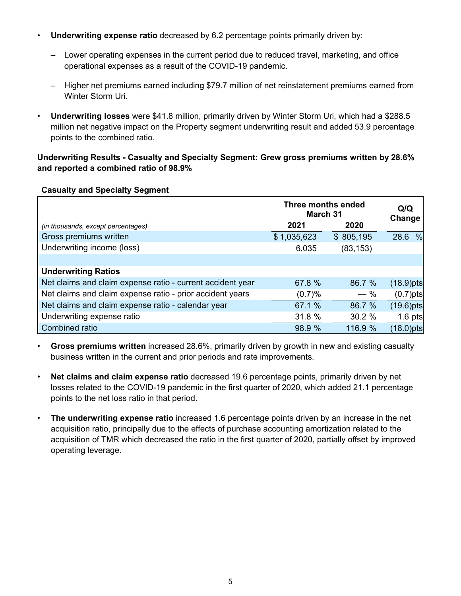- **Underwriting expense ratio** decreased by 6.2 percentage points primarily driven by:
	- Lower operating expenses in the current period due to reduced travel, marketing, and office operational expenses as a result of the COVID-19 pandemic.
	- Higher net premiums earned including \$79.7 million of net reinstatement premiums earned from Winter Storm Uri.
- **Underwriting losses** were \$41.8 million, primarily driven by Winter Storm Uri, which had a \$288.5 million net negative impact on the Property segment underwriting result and added 53.9 percentage points to the combined ratio.

## **Underwriting Results - Casualty and Specialty Segment: Grew gross premiums written by 28.6% and reported a combined ratio of 98.9%**

#### **Casualty and Specialty Segment**

|                                                            | Three months ended<br><b>March 31</b> | Q/Q<br>Change |                  |
|------------------------------------------------------------|---------------------------------------|---------------|------------------|
| (in thousands, except percentages)                         | 2021                                  | 2020          |                  |
| Gross premiums written                                     | \$1,035,623                           | \$805,195     | 28.6<br>%        |
| Underwriting income (loss)                                 | 6,035                                 | (83, 153)     |                  |
|                                                            |                                       |               |                  |
| <b>Underwriting Ratios</b>                                 |                                       |               |                  |
| Net claims and claim expense ratio - current accident year | 67.8 %                                | 86.7 %        | $(18.9)$ pts     |
| Net claims and claim expense ratio - prior accident years  | (0.7)%                                | $-$ %         | $(0.7)$ pts      |
| Net claims and claim expense ratio - calendar year         | 67.1 %                                | 86.7 %        | $(19.6)$ pts     |
| Underwriting expense ratio                                 | 31.8 %                                | 30.2 %        | 1.6 $pts$        |
| Combined ratio                                             | 98.9 %                                | 116.9 %       | $(18.0)$ pts $ $ |

- **Gross premiums written** increased 28.6%, primarily driven by growth in new and existing casualty business written in the current and prior periods and rate improvements.
- **Net claims and claim expense ratio** decreased 19.6 percentage points, primarily driven by net losses related to the COVID-19 pandemic in the first quarter of 2020, which added 21.1 percentage points to the net loss ratio in that period.
- **The underwriting expense ratio** increased 1.6 percentage points driven by an increase in the net acquisition ratio, principally due to the effects of purchase accounting amortization related to the acquisition of TMR which decreased the ratio in the first quarter of 2020, partially offset by improved operating leverage.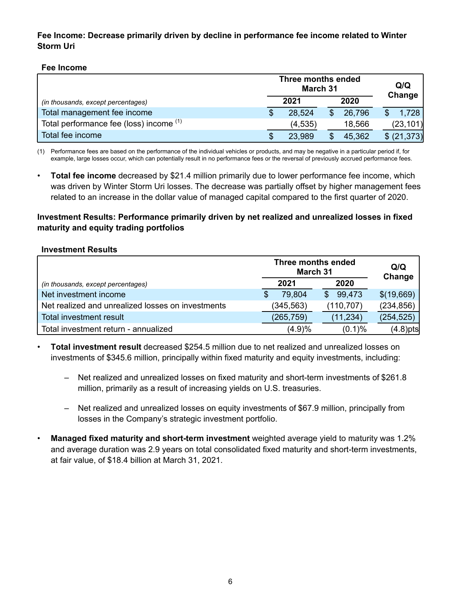## **Fee Income: Decrease primarily driven by decline in performance fee income related to Winter Storm Uri**

## **Fee Income**

|                                         | Three months ended<br><b>March 31</b> |          |  |        |  | Q/Q<br>Change |
|-----------------------------------------|---------------------------------------|----------|--|--------|--|---------------|
| (in thousands, except percentages)      |                                       | 2021     |  | 2020   |  |               |
| Total management fee income             |                                       | 28.524   |  | 26,796 |  | 1,728         |
| Total performance fee (loss) income (1) |                                       | (4, 535) |  | 18,566 |  | (23, 101)     |
| Total fee income                        |                                       | 23,989   |  | 45,362 |  | \$ (21, 373)  |

(1) Performance fees are based on the performance of the individual vehicles or products, and may be negative in a particular period if, for example, large losses occur, which can potentially result in no performance fees or the reversal of previously accrued performance fees.

• **Total fee income** decreased by \$21.4 million primarily due to lower performance fee income, which was driven by Winter Storm Uri losses. The decrease was partially offset by higher management fees related to an increase in the dollar value of managed capital compared to the first quarter of 2020.

## **Investment Results: Performance primarily driven by net realized and unrealized losses in fixed maturity and equity trading portfolios**

#### **Investment Results**

|                                                   | Three months ended<br>March 31 |              | Q/Q<br>Change |
|---------------------------------------------------|--------------------------------|--------------|---------------|
| (in thousands, except percentages)                | 2021                           | 2020         |               |
| Net investment income                             | 79.804                         | 99,473<br>\$ | \$(19,669)    |
| Net realized and unrealized losses on investments | (345,563)                      | (110, 707)   | (234, 856)    |
| <b>Total investment result</b>                    | (265, 759)                     | (11, 234)    | (254, 525)    |
| Total investment return - annualized              | (4.9)%                         | $(0.1)$ %    | $(4.8)$ pts   |

- **Total investment result** decreased \$254.5 million due to net realized and unrealized losses on investments of \$345.6 million, principally within fixed maturity and equity investments, including:
	- Net realized and unrealized losses on fixed maturity and short-term investments of \$261.8 million, primarily as a result of increasing yields on U.S. treasuries.
	- Net realized and unrealized losses on equity investments of \$67.9 million, principally from losses in the Company's strategic investment portfolio.
- **Managed fixed maturity and short-term investment** weighted average yield to maturity was 1.2% and average duration was 2.9 years on total consolidated fixed maturity and short-term investments, at fair value, of \$18.4 billion at March 31, 2021.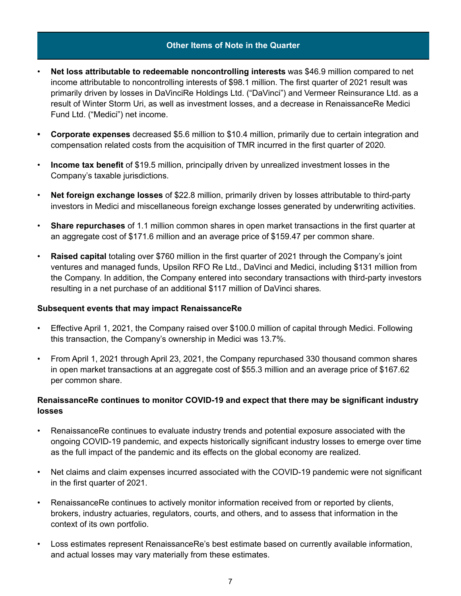#### **Other Items of Note in the Quarter**

- **Net loss attributable to redeemable noncontrolling interests** was \$46.9 million compared to net income attributable to noncontrolling interests of \$98.1 million. The first quarter of 2021 result was primarily driven by losses in DaVinciRe Holdings Ltd. ("DaVinci") and Vermeer Reinsurance Ltd. as a result of Winter Storm Uri, as well as investment losses, and a decrease in RenaissanceRe Medici Fund Ltd. ("Medici") net income.
- **• Corporate expenses** decreased \$5.6 million to \$10.4 million, primarily due to certain integration and compensation related costs from the acquisition of TMR incurred in the first quarter of 2020.
- **Income tax benefit** of \$19.5 million, principally driven by unrealized investment losses in the Company's taxable jurisdictions.
- **Net foreign exchange losses** of \$22.8 million, primarily driven by losses attributable to third-party investors in Medici and miscellaneous foreign exchange losses generated by underwriting activities.
- **Share repurchases** of 1.1 million common shares in open market transactions in the first quarter at an aggregate cost of \$171.6 million and an average price of \$159.47 per common share.
- **Raised capital** totaling over \$760 million in the first quarter of 2021 through the Company's joint ventures and managed funds, Upsilon RFO Re Ltd., DaVinci and Medici, including \$131 million from the Company. In addition, the Company entered into secondary transactions with third-party investors resulting in a net purchase of an additional \$117 million of DaVinci shares.

#### **Subsequent events that may impact RenaissanceRe**

- Effective April 1, 2021, the Company raised over \$100.0 million of capital through Medici. Following this transaction, the Company's ownership in Medici was 13.7%.
- From April 1, 2021 through April 23, 2021, the Company repurchased 330 thousand common shares in open market transactions at an aggregate cost of \$55.3 million and an average price of \$167.62 per common share.

## **RenaissanceRe continues to monitor COVID-19 and expect that there may be significant industry losses**

- RenaissanceRe continues to evaluate industry trends and potential exposure associated with the ongoing COVID-19 pandemic, and expects historically significant industry losses to emerge over time as the full impact of the pandemic and its effects on the global economy are realized.
- Net claims and claim expenses incurred associated with the COVID-19 pandemic were not significant in the first quarter of 2021.
- RenaissanceRe continues to actively monitor information received from or reported by clients, brokers, industry actuaries, regulators, courts, and others, and to assess that information in the context of its own portfolio.
- Loss estimates represent RenaissanceRe's best estimate based on currently available information, and actual losses may vary materially from these estimates.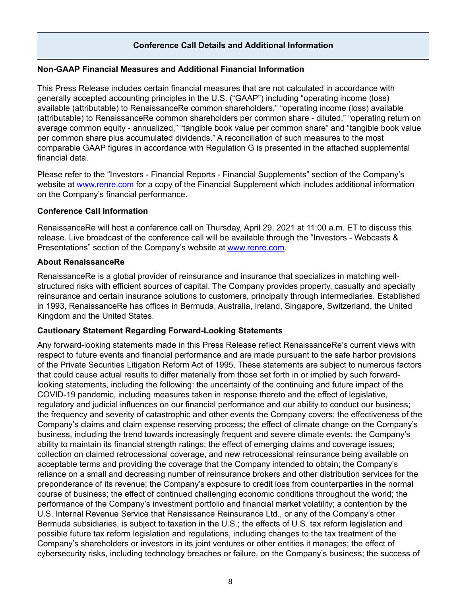## **Conference Call Details and Additional Information**

#### **Non-GAAP Financial Measures and Additional Financial Information**

This Press Release includes certain financial measures that are not calculated in accordance with generally accepted accounting principles in the U.S. ("GAAP") including "operating income (loss) available (attributable) to RenaissanceRe common shareholders," "operating income (loss) available (attributable) to RenaissanceRe common shareholders per common share - diluted," "operating return on average common equity - annualized," "tangible book value per common share" and "tangible book value per common share plus accumulated dividends." A reconciliation of such measures to the most comparable GAAP figures in accordance with Regulation G is presented in the attached supplemental financial data.

Please refer to the "Investors - Financial Reports - Financial Supplements" section of the Company's website at www.renre.com for a copy of the Financial Supplement which includes additional information on the Company's financial performance.

#### **Conference Call Information**

RenaissanceRe will host a conference call on Thursday, April 29, 2021 at 11:00 a.m. ET to discuss this release. Live broadcast of the conference call will be available through the "Investors - Webcasts & Presentations" section of the Company's website at www.renre.com.

#### **About RenaissanceRe**

RenaissanceRe is a global provider of reinsurance and insurance that specializes in matching wellstructured risks with efficient sources of capital. The Company provides property, casualty and specialty reinsurance and certain insurance solutions to customers, principally through intermediaries. Established in 1993, RenaissanceRe has offices in Bermuda, Australia, Ireland, Singapore, Switzerland, the United Kingdom and the United States.

#### **Cautionary Statement Regarding Forward-Looking Statements**

Any forward-looking statements made in this Press Release reflect RenaissanceRe's current views with respect to future events and financial performance and are made pursuant to the safe harbor provisions of the Private Securities Litigation Reform Act of 1995. These statements are subject to numerous factors that could cause actual results to differ materially from those set forth in or implied by such forwardlooking statements, including the following: the uncertainty of the continuing and future impact of the COVID-19 pandemic, including measures taken in response thereto and the effect of legislative, regulatory and judicial influences on our financial performance and our ability to conduct our business; the frequency and severity of catastrophic and other events the Company covers; the effectiveness of the Company's claims and claim expense reserving process; the effect of climate change on the Company's business, including the trend towards increasingly frequent and severe climate events; the Company's ability to maintain its financial strength ratings; the effect of emerging claims and coverage issues; collection on claimed retrocessional coverage, and new retrocessional reinsurance being available on acceptable terms and providing the coverage that the Company intended to obtain; the Company's reliance on a small and decreasing number of reinsurance brokers and other distribution services for the preponderance of its revenue; the Company's exposure to credit loss from counterparties in the normal course of business; the effect of continued challenging economic conditions throughout the world; the performance of the Company's investment portfolio and financial market volatility; a contention by the U.S. Internal Revenue Service that Renaissance Reinsurance Ltd., or any of the Company's other Bermuda subsidiaries, is subject to taxation in the U.S.; the effects of U.S. tax reform legislation and possible future tax reform legislation and regulations, including changes to the tax treatment of the Company's shareholders or investors in its joint ventures or other entities it manages; the effect of cybersecurity risks, including technology breaches or failure, on the Company's business; the success of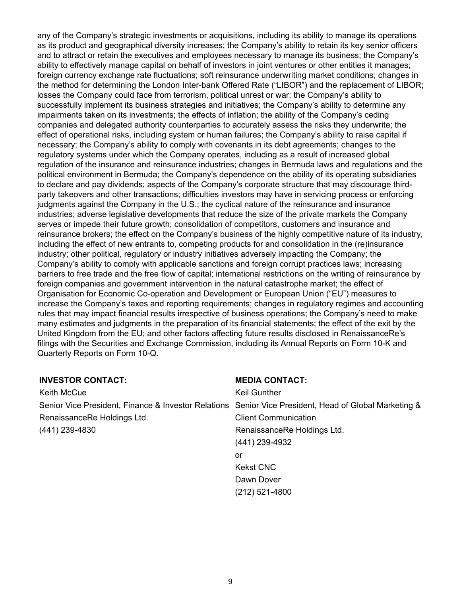any of the Company's strategic investments or acquisitions, including its ability to manage its operations as its product and geographical diversity increases; the Company's ability to retain its key senior officers and to attract or retain the executives and employees necessary to manage its business; the Company's ability to effectively manage capital on behalf of investors in joint ventures or other entities it manages; foreign currency exchange rate fluctuations; soft reinsurance underwriting market conditions; changes in the method for determining the London Inter-bank Offered Rate ("LIBOR") and the replacement of LIBOR; losses the Company could face from terrorism, political unrest or war; the Company's ability to successfully implement its business strategies and initiatives; the Company's ability to determine any impairments taken on its investments; the effects of inflation; the ability of the Company's ceding companies and delegated authority counterparties to accurately assess the risks they underwrite; the effect of operational risks, including system or human failures; the Company's ability to raise capital if necessary; the Company's ability to comply with covenants in its debt agreements; changes to the regulatory systems under which the Company operates, including as a result of increased global regulation of the insurance and reinsurance industries; changes in Bermuda laws and regulations and the political environment in Bermuda; the Company's dependence on the ability of its operating subsidiaries to declare and pay dividends; aspects of the Company's corporate structure that may discourage thirdparty takeovers and other transactions; difficulties investors may have in servicing process or enforcing judgments against the Company in the U.S.; the cyclical nature of the reinsurance and insurance industries; adverse legislative developments that reduce the size of the private markets the Company serves or impede their future growth; consolidation of competitors, customers and insurance and reinsurance brokers; the effect on the Company's business of the highly competitive nature of its industry, including the effect of new entrants to, competing products for and consolidation in the (re)insurance industry; other political, regulatory or industry initiatives adversely impacting the Company; the Company's ability to comply with applicable sanctions and foreign corrupt practices laws; increasing barriers to free trade and the free flow of capital; international restrictions on the writing of reinsurance by foreign companies and government intervention in the natural catastrophe market; the effect of Organisation for Economic Co-operation and Development or European Union ("EU") measures to increase the Company's taxes and reporting requirements; changes in regulatory regimes and accounting rules that may impact financial results irrespective of business operations; the Company's need to make many estimates and judgments in the preparation of its financial statements; the effect of the exit by the United Kingdom from the EU; and other factors affecting future results disclosed in RenaissanceRe's filings with the Securities and Exchange Commission, including its Annual Reports on Form 10-K and Quarterly Reports on Form 10-Q.

#### **INVESTOR CONTACT:**

Keith McCue Senior Vice President, Finance & Investor Relations Senior Vice President, Head of Global Marketing & RenaissanceRe Holdings Ltd. (441) 239-4830

#### **MEDIA CONTACT:**

Keil Gunther Client Communication RenaissanceRe Holdings Ltd. (441) 239-4932 or Kekst CNC Dawn Dover (212) 521-4800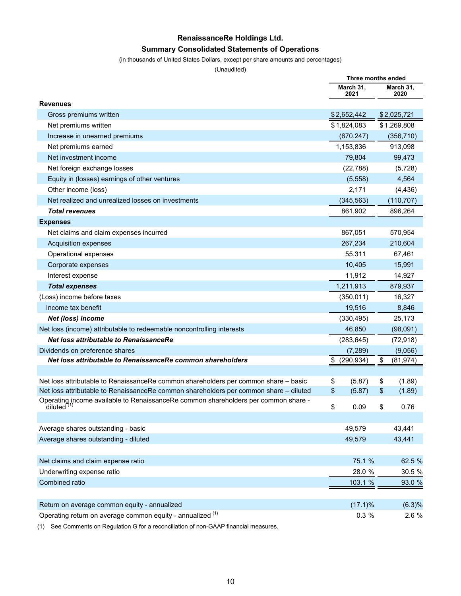#### **RenaissanceRe Holdings Ltd.**

#### **Summary Consolidated Statements of Operations**

(in thousands of United States Dollars, except per share amounts and percentages)

(Unaudited)

|                                                                                                     | Three months ended |                   |    |                   |
|-----------------------------------------------------------------------------------------------------|--------------------|-------------------|----|-------------------|
|                                                                                                     |                    | March 31,<br>2021 |    | March 31,<br>2020 |
| <b>Revenues</b>                                                                                     |                    |                   |    |                   |
| Gross premiums written                                                                              |                    | \$2,652,442       |    | \$2,025,721       |
| Net premiums written                                                                                |                    | \$1,824,083       |    | \$1,269,808       |
| Increase in unearned premiums                                                                       |                    | (670, 247)        |    | (356, 710)        |
| Net premiums earned                                                                                 |                    | 1,153,836         |    | 913,098           |
| Net investment income                                                                               |                    | 79,804            |    | 99,473            |
| Net foreign exchange losses                                                                         |                    | (22, 788)         |    | (5, 728)          |
| Equity in (losses) earnings of other ventures                                                       |                    | (5,558)           |    | 4,564             |
| Other income (loss)                                                                                 |                    | 2,171             |    | (4, 436)          |
| Net realized and unrealized losses on investments                                                   |                    | (345, 563)        |    | (110, 707)        |
| <b>Total revenues</b>                                                                               |                    | 861,902           |    | 896,264           |
| <b>Expenses</b>                                                                                     |                    |                   |    |                   |
| Net claims and claim expenses incurred                                                              |                    | 867.051           |    | 570,954           |
| Acquisition expenses                                                                                |                    | 267,234           |    | 210,604           |
| Operational expenses                                                                                |                    | 55.311            |    | 67,461            |
| Corporate expenses                                                                                  |                    | 10,405            |    | 15,991            |
| Interest expense                                                                                    |                    | 11,912            |    | 14,927            |
| <b>Total expenses</b>                                                                               | 1,211,913          |                   |    | 879,937           |
| (Loss) income before taxes                                                                          | (350, 011)         |                   |    | 16,327            |
| Income tax benefit                                                                                  |                    | 19,516            |    | 8,846             |
| Net (loss) income                                                                                   |                    | (330, 495)        |    | 25,173            |
| Net loss (income) attributable to redeemable noncontrolling interests                               |                    | 46,850            |    | (98,091)          |
| Net loss attributable to RenaissanceRe                                                              |                    | (283, 645)        |    | (72, 918)         |
| Dividends on preference shares                                                                      |                    | (7, 289)          |    | (9,056)           |
| Net loss attributable to RenaissanceRe common shareholders                                          | \$                 | (290, 934)        | \$ | (81, 974)         |
|                                                                                                     |                    |                   |    |                   |
| Net loss attributable to RenaissanceRe common shareholders per common share – basic                 | \$                 | (5.87)            | \$ | (1.89)            |
| Net loss attributable to RenaissanceRe common shareholders per common share - diluted               | \$                 | (5.87)            | \$ | (1.89)            |
| Operating income available to RenaissanceRe common shareholders per common share -<br>diluted $(1)$ | \$                 | 0.09              |    | 0.76              |
|                                                                                                     |                    |                   |    |                   |
| Average shares outstanding - basic                                                                  |                    | 49,579            |    | 43,441            |
| Average shares outstanding - diluted                                                                |                    | 49,579            |    | 43,441            |
| Net claims and claim expense ratio                                                                  |                    | 75.1 %            |    | 62.5 %            |
| Underwriting expense ratio                                                                          |                    | 28.0 %            |    | 30.5 %            |
| Combined ratio                                                                                      |                    | 103.1 %           |    | 93.0 %            |
| Return on average common equity - annualized                                                        |                    | $(17.1)\%$        |    | (6.3)%            |
| Operating return on average common equity - annualized (1)                                          |                    | 0.3%              |    | 2.6 %             |

(1) See Comments on Regulation G for a reconciliation of non-GAAP financial measures.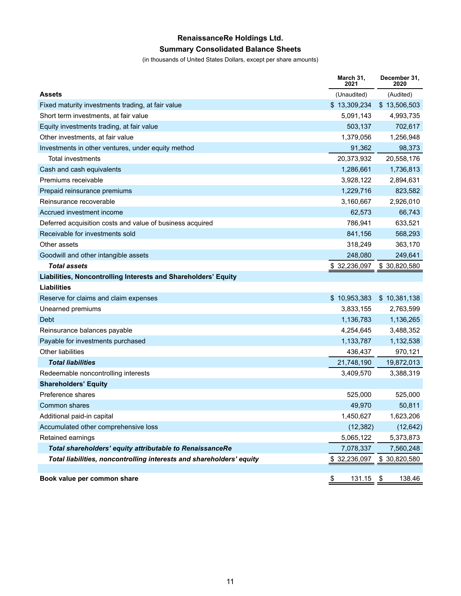# **RenaissanceRe Holdings Ltd.**

## **Summary Consolidated Balance Sheets**

(in thousands of United States Dollars, except per share amounts)

|                                                                      | March 31,<br>2021 | December 31,<br>2020 |
|----------------------------------------------------------------------|-------------------|----------------------|
| <b>Assets</b>                                                        | (Unaudited)       | (Audited)            |
| Fixed maturity investments trading, at fair value                    | \$13,309,234      | \$13,506,503         |
| Short term investments, at fair value                                | 5,091,143         | 4,993,735            |
| Equity investments trading, at fair value                            | 503,137           | 702,617              |
| Other investments, at fair value                                     | 1,379,056         | 1,256,948            |
| Investments in other ventures, under equity method                   | 91,362            | 98,373               |
| <b>Total investments</b>                                             | 20,373,932        | 20,558,176           |
| Cash and cash equivalents                                            | 1,286,661         | 1,736,813            |
| Premiums receivable                                                  | 3,928,122         | 2,894,631            |
| Prepaid reinsurance premiums                                         | 1,229,716         | 823,582              |
| Reinsurance recoverable                                              | 3,160,667         | 2,926,010            |
| Accrued investment income                                            | 62,573            | 66,743               |
| Deferred acquisition costs and value of business acquired            | 786,941           | 633,521              |
| Receivable for investments sold                                      | 841,156           | 568,293              |
| Other assets                                                         | 318,249           | 363,170              |
| Goodwill and other intangible assets                                 | 248,080           | 249,641              |
| <b>Total assets</b>                                                  | \$32,236,097      | \$30,820,580         |
| Liabilities, Noncontrolling Interests and Shareholders' Equity       |                   |                      |
| Liabilities                                                          |                   |                      |
| Reserve for claims and claim expenses                                | \$10,953,383      | \$10,381,138         |
| Unearned premiums                                                    | 3,833,155         | 2,763,599            |
| Debt                                                                 | 1,136,783         | 1,136,265            |
| Reinsurance balances payable                                         | 4,254,645         | 3,488,352            |
| Payable for investments purchased                                    | 1,133,787         | 1,132,538            |
| <b>Other liabilities</b>                                             | 436,437           | 970,121              |
| <b>Total liabilities</b>                                             | 21,748,190        | 19,872,013           |
| Redeemable noncontrolling interests                                  | 3,409,570         | 3,388,319            |
| <b>Shareholders' Equity</b>                                          |                   |                      |
| Preference shares                                                    | 525,000           | 525,000              |
| Common shares                                                        | 49,970            | 50,811               |
| Additional paid-in capital                                           | 1,450,627         | 1,623,206            |
| Accumulated other comprehensive loss                                 | (12, 382)         | (12, 642)            |
| Retained earnings                                                    | 5,065,122         | 5,373,873            |
| Total shareholders' equity attributable to RenaissanceRe             | 7,078,337         | 7,560,248            |
| Total liabilities, noncontrolling interests and shareholders' equity | \$32,236,097      | \$30,820,580         |
|                                                                      |                   |                      |
| Book value per common share                                          | 131.15 \$<br>\$   | 138.46               |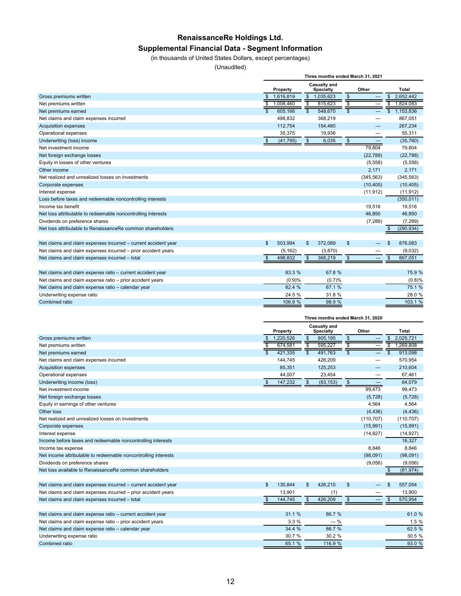# **RenaissanceRe Holdings Ltd.**

## **Supplemental Financial Data - Segment Information**

(in thousands of United States Dollars, except percentages)

(Unaudited)

| Casualty and<br>Other<br><b>Specialty</b><br>Total<br>Property<br>$\mathfrak{S}$<br>$\sqrt[6]{3}$<br>2.652.442<br>1,616,819<br>1,035,623<br>\$<br>Gross premiums written<br>s,<br>$\overline{\mathbb{S}}$<br>\$<br>\$<br>815.623<br>1,008,460<br>1,824,083<br>Net premiums written<br>$\overline{\mathbf{s}}$<br>\$<br>605,166<br>548.670<br>\$<br>1,153,836<br>Net premiums earned<br>498.832<br>368,219<br>867,051<br>Net claims and claim expenses incurred<br>112,754<br><b>Acquisition expenses</b><br>154,480<br>267,234<br>35,375<br>19,936<br>55,311<br>Operational expenses<br>$\sqrt[6]{\frac{1}{2}}$<br>(35,760)<br>\$<br>\$<br>6,035<br>Underwriting (loss) income<br>(41, 795)<br>79,804<br>Net investment income<br>79,804<br>Net foreign exchange losses<br>(22, 788)<br>(22, 788)<br>Equity in losses of other ventures<br>(5,558)<br>(5,558)<br>2,171<br>2,171<br>Other income<br>Net realized and unrealized losses on investments<br>(345, 563)<br>(345, 563)<br>(10, 405)<br>(10, 405)<br>Corporate expenses<br>(11, 912)<br>(11, 912)<br>Interest expense<br>(350, 011)<br>Loss before taxes and redeemable noncontrolling interests<br>19,516<br>19,516<br>Income tax benefit<br>Net loss attributable to redeemable noncontrolling interests<br>46,850<br>46,850<br>Dividends on preference shares<br>(7, 289)<br>(7, 289)<br>Net loss attributable to RenaissanceRe common shareholders<br>(290, 934)<br>\$<br>503.994<br>\$<br>372.089<br>\$<br>876.083<br>Net claims and claim expenses incurred - current accident year<br>\$<br>Net claims and claim expenses incurred - prior accident years<br>(3,870)<br>(5, 162)<br>(9,032) |                                                | Three months ended March 31, 2021 |         |    |         |              |  |    |         |
|-------------------------------------------------------------------------------------------------------------------------------------------------------------------------------------------------------------------------------------------------------------------------------------------------------------------------------------------------------------------------------------------------------------------------------------------------------------------------------------------------------------------------------------------------------------------------------------------------------------------------------------------------------------------------------------------------------------------------------------------------------------------------------------------------------------------------------------------------------------------------------------------------------------------------------------------------------------------------------------------------------------------------------------------------------------------------------------------------------------------------------------------------------------------------------------------------------------------------------------------------------------------------------------------------------------------------------------------------------------------------------------------------------------------------------------------------------------------------------------------------------------------------------------------------------------------------------------------------------------------------------------------------------------|------------------------------------------------|-----------------------------------|---------|----|---------|--------------|--|----|---------|
|                                                                                                                                                                                                                                                                                                                                                                                                                                                                                                                                                                                                                                                                                                                                                                                                                                                                                                                                                                                                                                                                                                                                                                                                                                                                                                                                                                                                                                                                                                                                                                                                                                                             |                                                |                                   |         |    |         |              |  |    |         |
|                                                                                                                                                                                                                                                                                                                                                                                                                                                                                                                                                                                                                                                                                                                                                                                                                                                                                                                                                                                                                                                                                                                                                                                                                                                                                                                                                                                                                                                                                                                                                                                                                                                             |                                                |                                   |         |    |         |              |  |    |         |
|                                                                                                                                                                                                                                                                                                                                                                                                                                                                                                                                                                                                                                                                                                                                                                                                                                                                                                                                                                                                                                                                                                                                                                                                                                                                                                                                                                                                                                                                                                                                                                                                                                                             |                                                |                                   |         |    |         |              |  |    |         |
|                                                                                                                                                                                                                                                                                                                                                                                                                                                                                                                                                                                                                                                                                                                                                                                                                                                                                                                                                                                                                                                                                                                                                                                                                                                                                                                                                                                                                                                                                                                                                                                                                                                             |                                                |                                   |         |    |         |              |  |    |         |
|                                                                                                                                                                                                                                                                                                                                                                                                                                                                                                                                                                                                                                                                                                                                                                                                                                                                                                                                                                                                                                                                                                                                                                                                                                                                                                                                                                                                                                                                                                                                                                                                                                                             |                                                |                                   |         |    |         |              |  |    |         |
|                                                                                                                                                                                                                                                                                                                                                                                                                                                                                                                                                                                                                                                                                                                                                                                                                                                                                                                                                                                                                                                                                                                                                                                                                                                                                                                                                                                                                                                                                                                                                                                                                                                             |                                                |                                   |         |    |         |              |  |    |         |
|                                                                                                                                                                                                                                                                                                                                                                                                                                                                                                                                                                                                                                                                                                                                                                                                                                                                                                                                                                                                                                                                                                                                                                                                                                                                                                                                                                                                                                                                                                                                                                                                                                                             |                                                |                                   |         |    |         |              |  |    |         |
|                                                                                                                                                                                                                                                                                                                                                                                                                                                                                                                                                                                                                                                                                                                                                                                                                                                                                                                                                                                                                                                                                                                                                                                                                                                                                                                                                                                                                                                                                                                                                                                                                                                             |                                                |                                   |         |    |         |              |  |    |         |
|                                                                                                                                                                                                                                                                                                                                                                                                                                                                                                                                                                                                                                                                                                                                                                                                                                                                                                                                                                                                                                                                                                                                                                                                                                                                                                                                                                                                                                                                                                                                                                                                                                                             |                                                |                                   |         |    |         |              |  |    |         |
|                                                                                                                                                                                                                                                                                                                                                                                                                                                                                                                                                                                                                                                                                                                                                                                                                                                                                                                                                                                                                                                                                                                                                                                                                                                                                                                                                                                                                                                                                                                                                                                                                                                             |                                                |                                   |         |    |         |              |  |    |         |
|                                                                                                                                                                                                                                                                                                                                                                                                                                                                                                                                                                                                                                                                                                                                                                                                                                                                                                                                                                                                                                                                                                                                                                                                                                                                                                                                                                                                                                                                                                                                                                                                                                                             |                                                |                                   |         |    |         |              |  |    |         |
|                                                                                                                                                                                                                                                                                                                                                                                                                                                                                                                                                                                                                                                                                                                                                                                                                                                                                                                                                                                                                                                                                                                                                                                                                                                                                                                                                                                                                                                                                                                                                                                                                                                             |                                                |                                   |         |    |         |              |  |    |         |
|                                                                                                                                                                                                                                                                                                                                                                                                                                                                                                                                                                                                                                                                                                                                                                                                                                                                                                                                                                                                                                                                                                                                                                                                                                                                                                                                                                                                                                                                                                                                                                                                                                                             |                                                |                                   |         |    |         |              |  |    |         |
|                                                                                                                                                                                                                                                                                                                                                                                                                                                                                                                                                                                                                                                                                                                                                                                                                                                                                                                                                                                                                                                                                                                                                                                                                                                                                                                                                                                                                                                                                                                                                                                                                                                             |                                                |                                   |         |    |         |              |  |    |         |
|                                                                                                                                                                                                                                                                                                                                                                                                                                                                                                                                                                                                                                                                                                                                                                                                                                                                                                                                                                                                                                                                                                                                                                                                                                                                                                                                                                                                                                                                                                                                                                                                                                                             |                                                |                                   |         |    |         |              |  |    |         |
|                                                                                                                                                                                                                                                                                                                                                                                                                                                                                                                                                                                                                                                                                                                                                                                                                                                                                                                                                                                                                                                                                                                                                                                                                                                                                                                                                                                                                                                                                                                                                                                                                                                             |                                                |                                   |         |    |         |              |  |    |         |
|                                                                                                                                                                                                                                                                                                                                                                                                                                                                                                                                                                                                                                                                                                                                                                                                                                                                                                                                                                                                                                                                                                                                                                                                                                                                                                                                                                                                                                                                                                                                                                                                                                                             |                                                |                                   |         |    |         |              |  |    |         |
|                                                                                                                                                                                                                                                                                                                                                                                                                                                                                                                                                                                                                                                                                                                                                                                                                                                                                                                                                                                                                                                                                                                                                                                                                                                                                                                                                                                                                                                                                                                                                                                                                                                             |                                                |                                   |         |    |         |              |  |    |         |
|                                                                                                                                                                                                                                                                                                                                                                                                                                                                                                                                                                                                                                                                                                                                                                                                                                                                                                                                                                                                                                                                                                                                                                                                                                                                                                                                                                                                                                                                                                                                                                                                                                                             |                                                |                                   |         |    |         |              |  |    |         |
|                                                                                                                                                                                                                                                                                                                                                                                                                                                                                                                                                                                                                                                                                                                                                                                                                                                                                                                                                                                                                                                                                                                                                                                                                                                                                                                                                                                                                                                                                                                                                                                                                                                             |                                                |                                   |         |    |         |              |  |    |         |
|                                                                                                                                                                                                                                                                                                                                                                                                                                                                                                                                                                                                                                                                                                                                                                                                                                                                                                                                                                                                                                                                                                                                                                                                                                                                                                                                                                                                                                                                                                                                                                                                                                                             |                                                |                                   |         |    |         |              |  |    |         |
|                                                                                                                                                                                                                                                                                                                                                                                                                                                                                                                                                                                                                                                                                                                                                                                                                                                                                                                                                                                                                                                                                                                                                                                                                                                                                                                                                                                                                                                                                                                                                                                                                                                             |                                                |                                   |         |    |         |              |  |    |         |
|                                                                                                                                                                                                                                                                                                                                                                                                                                                                                                                                                                                                                                                                                                                                                                                                                                                                                                                                                                                                                                                                                                                                                                                                                                                                                                                                                                                                                                                                                                                                                                                                                                                             |                                                |                                   |         |    |         |              |  |    |         |
|                                                                                                                                                                                                                                                                                                                                                                                                                                                                                                                                                                                                                                                                                                                                                                                                                                                                                                                                                                                                                                                                                                                                                                                                                                                                                                                                                                                                                                                                                                                                                                                                                                                             | Net claims and claim expenses incurred - total | \$                                | 498,832 | \$ | 368,219 | $\mathbb{S}$ |  | \$ | 867,051 |
|                                                                                                                                                                                                                                                                                                                                                                                                                                                                                                                                                                                                                                                                                                                                                                                                                                                                                                                                                                                                                                                                                                                                                                                                                                                                                                                                                                                                                                                                                                                                                                                                                                                             |                                                |                                   |         |    |         |              |  |    |         |
| 83.3 %<br>67.8%<br>75.9 %<br>Net claims and claim expense ratio - current accident year                                                                                                                                                                                                                                                                                                                                                                                                                                                                                                                                                                                                                                                                                                                                                                                                                                                                                                                                                                                                                                                                                                                                                                                                                                                                                                                                                                                                                                                                                                                                                                     |                                                |                                   |         |    |         |              |  |    |         |
| Net claims and claim expense ratio - prior accident years<br>(0.9)%<br>(0.7)%<br>(0.8)%                                                                                                                                                                                                                                                                                                                                                                                                                                                                                                                                                                                                                                                                                                                                                                                                                                                                                                                                                                                                                                                                                                                                                                                                                                                                                                                                                                                                                                                                                                                                                                     |                                                |                                   |         |    |         |              |  |    |         |
| 67.1 %<br>75.1 %<br>82.4 %<br>Net claims and claim expense ratio - calendar year                                                                                                                                                                                                                                                                                                                                                                                                                                                                                                                                                                                                                                                                                                                                                                                                                                                                                                                                                                                                                                                                                                                                                                                                                                                                                                                                                                                                                                                                                                                                                                            |                                                |                                   |         |    |         |              |  |    |         |
| 24.5 %<br>31.8 %<br>28.0%<br>Underwriting expense ratio                                                                                                                                                                                                                                                                                                                                                                                                                                                                                                                                                                                                                                                                                                                                                                                                                                                                                                                                                                                                                                                                                                                                                                                                                                                                                                                                                                                                                                                                                                                                                                                                     |                                                |                                   |         |    |         |              |  |    |         |
| 103.1 %<br>106.9 %<br>98.9 %<br>Combined ratio                                                                                                                                                                                                                                                                                                                                                                                                                                                                                                                                                                                                                                                                                                                                                                                                                                                                                                                                                                                                                                                                                                                                                                                                                                                                                                                                                                                                                                                                                                                                                                                                              |                                                |                                   |         |    |         |              |  |    |         |

|                                                                | Three months ended March 31, 2020 |           |               |                                  |                         |            |    |              |
|----------------------------------------------------------------|-----------------------------------|-----------|---------------|----------------------------------|-------------------------|------------|----|--------------|
|                                                                | Property                          |           |               | Casualty and<br><b>Specialty</b> |                         | Other      |    | <b>Total</b> |
| Gross premiums written                                         | \$                                | 1,220,526 | $\sqrt[6]{3}$ | 805.195                          | \$                      |            | \$ | 2,025,721    |
| Net premiums written                                           |                                   | 674.581   |               | 595,227                          | $\overline{\mathbb{s}}$ |            | s  | 1,269,808    |
| Net premiums earned                                            |                                   | 421.335   |               | 491,763                          | $\overline{\mathbb{s}}$ |            | \$ | 913,098      |
| Net claims and claim expenses incurred                         |                                   | 144,745   |               | 426,209                          |                         |            |    | 570,954      |
| <b>Acquisition expenses</b>                                    |                                   | 85,351    |               | 125,253                          |                         |            |    | 210,604      |
| Operational expenses                                           |                                   | 44,007    |               | 23,454                           |                         |            |    | 67.461       |
| Underwriting income (loss)                                     | $\sqrt[6]{3}$                     | 147,232   | $\sqrt[6]{3}$ | (83, 153)                        | $\sqrt[6]{\frac{1}{2}}$ |            |    | 64,079       |
| Net investment income                                          |                                   |           |               |                                  |                         | 99,473     |    | 99.473       |
| Net foreign exchange losses                                    |                                   |           |               |                                  |                         | (5, 728)   |    | (5,728)      |
| Equity in earnings of other ventures                           |                                   |           |               |                                  |                         | 4,564      |    | 4,564        |
| Other loss                                                     |                                   |           |               |                                  |                         | (4, 436)   |    | (4, 436)     |
| Net realized and unrealized losses on investments              |                                   |           |               |                                  |                         | (110, 707) |    | (110, 707)   |
| Corporate expenses                                             |                                   |           |               |                                  |                         | (15,991)   |    | (15,991)     |
| Interest expense                                               |                                   |           |               |                                  |                         | (14, 927)  |    | (14, 927)    |
| Income before taxes and redeemable noncontrolling interests    |                                   |           |               |                                  |                         |            |    | 16,327       |
| Income tax expense                                             |                                   |           |               |                                  |                         | 8,846      |    | 8,846        |
| Net income attributable to redeemable noncontrolling interests |                                   |           |               |                                  |                         | (98,091)   |    | (98,091)     |
| Dividends on preference shares                                 |                                   |           |               |                                  |                         | (9,056)    |    | (9,056)      |
| Net loss available to RenaissanceRe common shareholders        |                                   |           |               |                                  |                         |            | S  | (81, 974)    |
|                                                                |                                   |           |               |                                  |                         |            |    |              |
| Net claims and claim expenses incurred - current accident year | $\mathbf{\$}$                     | 130,844   | \$            | 426,210                          | \$                      |            |    | 557,054      |
| Net claims and claim expenses incurred - prior accident years  |                                   | 13,901    |               | (1)                              |                         |            |    | 13,900       |
| Net claims and claim expenses incurred - total                 | \$                                | 144,745   | \$            | 426.209                          | \$                      |            |    | 570,954      |
|                                                                |                                   |           |               |                                  |                         |            |    |              |
| Net claims and claim expense ratio - current accident year     |                                   | 31.1 %    |               | 86.7 %                           |                         |            |    | 61.0%        |
| Net claims and claim expense ratio - prior accident years      |                                   | 3.3%      |               | $-$ %                            |                         |            |    | 1.5 %        |
| Net claims and claim expense ratio - calendar year             |                                   | 34.4 %    |               | 86.7 %                           |                         |            |    | 62.5 %       |
| Underwriting expense ratio                                     |                                   | 30.7 %    |               | 30.2 %                           |                         |            |    | 30.5 %       |
| Combined ratio                                                 |                                   | 65.1 %    |               | 116.9 %                          |                         |            |    | 93.0 %       |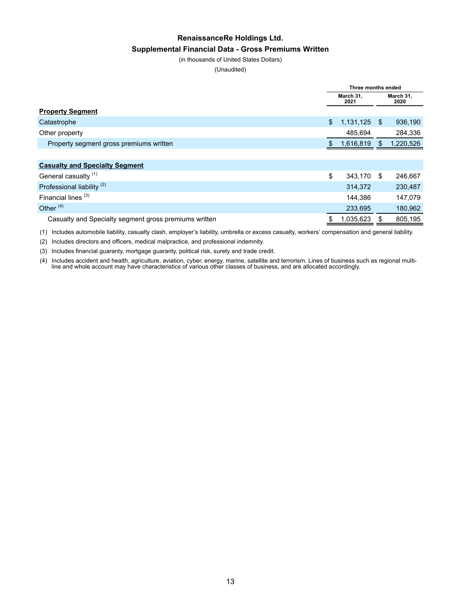## **RenaissanceRe Holdings Ltd. Supplemental Financial Data - Gross Premiums Written**

(in thousands of United States Dollars)

(Unaudited)

|                                                       | Three months ended |           |    |                   |
|-------------------------------------------------------|--------------------|-----------|----|-------------------|
|                                                       | March 31,<br>2021  |           |    | March 31,<br>2020 |
| <b>Property Segment</b>                               |                    |           |    |                   |
| Catastrophe                                           | \$                 | 1,131,125 | \$ | 936,190           |
| Other property                                        |                    | 485,694   |    | 284,336           |
| Property segment gross premiums written               |                    | 1,616,819 | \$ | 1,220,526         |
|                                                       |                    |           |    |                   |
| <b>Casualty and Specialty Segment</b>                 |                    |           |    |                   |
| General casualty <sup>(1)</sup>                       | \$                 | 343,170   | \$ | 246,667           |
| Professional liability <sup>(2)</sup>                 |                    | 314,372   |    | 230,487           |
| Financial lines <sup>(3)</sup>                        |                    | 144,386   |    | 147,079           |
| Other $(4)$                                           |                    | 233,695   |    | 180,962           |
| Casualty and Specialty segment gross premiums written |                    | 1,035,623 | \$ | 805,195           |

(1) Includes automobile liability, casualty clash, employer's liability, umbrella or excess casualty, workers' compensation and general liability.

(2) Includes directors and officers, medical malpractice, and professional indemnity.

(3) Includes financial guaranty, mortgage guaranty, political risk, surety and trade credit.

(4) Includes accident and health, agriculture, aviation, cyber, energy, marine, satellite and terrorism. Lines of business such as regional multiline and whole account may have characteristics of various other classes of business, and are allocated accordingly.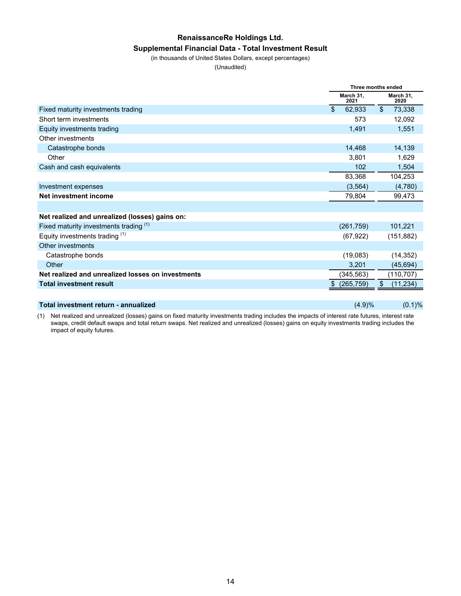## **RenaissanceRe Holdings Ltd. Supplemental Financial Data - Total Investment Result**

#### (in thousands of United States Dollars, except percentages)

(Unaudited)

|                                                   | Three months ended |            |                |                   |
|---------------------------------------------------|--------------------|------------|----------------|-------------------|
|                                                   | March 31,<br>2021  |            |                | March 31,<br>2020 |
| Fixed maturity investments trading                | $\mathfrak{L}$     | 62,933     | $\mathfrak{S}$ | 73,338            |
| Short term investments                            |                    | 573        |                | 12,092            |
| Equity investments trading                        |                    | 1,491      |                | 1,551             |
| Other investments                                 |                    |            |                |                   |
| Catastrophe bonds                                 |                    | 14,468     |                | 14,139            |
| Other                                             |                    | 3,801      |                | 1,629             |
| Cash and cash equivalents                         |                    | 102        |                | 1,504             |
|                                                   |                    | 83,368     |                | 104,253           |
| Investment expenses                               |                    | (3, 564)   |                | (4,780)           |
| Net investment income                             |                    | 79,804     |                | 99,473            |
|                                                   |                    |            |                |                   |
| Net realized and unrealized (losses) gains on:    |                    |            |                |                   |
| Fixed maturity investments trading $(1)$          |                    | (261, 759) |                | 101,221           |
| Equity investments trading $(1)$                  |                    | (67, 922)  |                | (151, 882)        |
| Other investments                                 |                    |            |                |                   |
| Catastrophe bonds                                 |                    | (19,083)   |                | (14, 352)         |
| Other                                             |                    | 3,201      |                | (45, 694)         |
| Net realized and unrealized losses on investments |                    | (345,563)  |                | (110, 707)        |
| <b>Total investment result</b>                    | - \$               | (265, 759) | \$             | (11,234)          |
|                                                   |                    |            |                |                   |

#### **Total investment return - annualized** (0.1)% (0.1) (1.9) % (0.1) % (0.1) % (0.1) % (0.1) % (0.1) % (0.1) % (0.1) %

(1) Net realized and unrealized (losses) gains on fixed maturity investments trading includes the impacts of interest rate futures, interest rate swaps, credit default swaps and total return swaps. Net realized and unrealized (losses) gains on equity investments trading includes the impact of equity futures.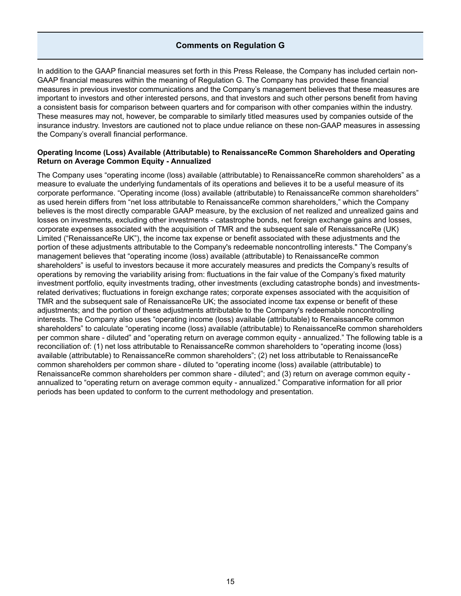#### **Comments on Regulation G**

In addition to the GAAP financial measures set forth in this Press Release, the Company has included certain non-GAAP financial measures within the meaning of Regulation G. The Company has provided these financial measures in previous investor communications and the Company's management believes that these measures are important to investors and other interested persons, and that investors and such other persons benefit from having a consistent basis for comparison between quarters and for comparison with other companies within the industry. These measures may not, however, be comparable to similarly titled measures used by companies outside of the insurance industry. Investors are cautioned not to place undue reliance on these non-GAAP measures in assessing the Company's overall financial performance.

#### **Operating Income (Loss) Available (Attributable) to RenaissanceRe Common Shareholders and Operating Return on Average Common Equity - Annualized**

The Company uses "operating income (loss) available (attributable) to RenaissanceRe common shareholders" as a measure to evaluate the underlying fundamentals of its operations and believes it to be a useful measure of its corporate performance. "Operating income (loss) available (attributable) to RenaissanceRe common shareholders" as used herein differs from "net loss attributable to RenaissanceRe common shareholders," which the Company believes is the most directly comparable GAAP measure, by the exclusion of net realized and unrealized gains and losses on investments, excluding other investments - catastrophe bonds, net foreign exchange gains and losses, corporate expenses associated with the acquisition of TMR and the subsequent sale of RenaissanceRe (UK) Limited ("RenaissanceRe UK"), the income tax expense or benefit associated with these adjustments and the portion of these adjustments attributable to the Company's redeemable noncontrolling interests." The Company's management believes that "operating income (loss) available (attributable) to RenaissanceRe common shareholders" is useful to investors because it more accurately measures and predicts the Company's results of operations by removing the variability arising from: fluctuations in the fair value of the Company's fixed maturity investment portfolio, equity investments trading, other investments (excluding catastrophe bonds) and investmentsrelated derivatives; fluctuations in foreign exchange rates; corporate expenses associated with the acquisition of TMR and the subsequent sale of RenaissanceRe UK; the associated income tax expense or benefit of these adjustments; and the portion of these adjustments attributable to the Company's redeemable noncontrolling interests. The Company also uses "operating income (loss) available (attributable) to RenaissanceRe common shareholders" to calculate "operating income (loss) available (attributable) to RenaissanceRe common shareholders per common share - diluted" and "operating return on average common equity - annualized." The following table is a reconciliation of: (1) net loss attributable to RenaissanceRe common shareholders to "operating income (loss) available (attributable) to RenaissanceRe common shareholders"; (2) net loss attributable to RenaissanceRe common shareholders per common share - diluted to "operating income (loss) available (attributable) to RenaissanceRe common shareholders per common share - diluted"; and (3) return on average common equity annualized to "operating return on average common equity - annualized." Comparative information for all prior periods has been updated to conform to the current methodology and presentation.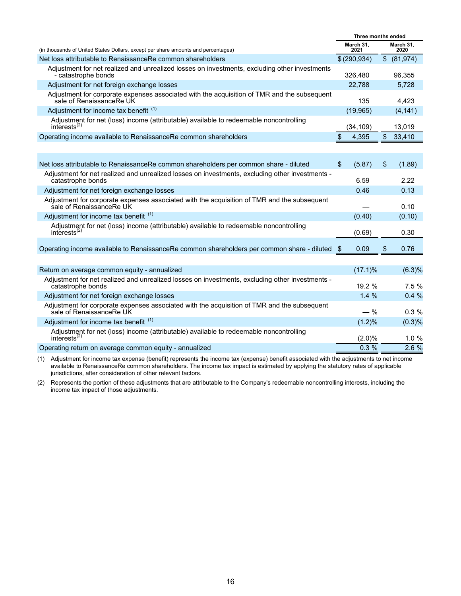|                                                                                                                                 |                          | Three months ended        |
|---------------------------------------------------------------------------------------------------------------------------------|--------------------------|---------------------------|
| (in thousands of United States Dollars, except per share amounts and percentages)                                               | March 31.<br>2021        | March 31.<br>2020         |
| Net loss attributable to RenaissanceRe common shareholders                                                                      | \$(290, 934)             | $\mathbb{S}$<br>(81, 974) |
| Adjustment for net realized and unrealized losses on investments, excluding other investments<br>- catastrophe bonds            | 326,480                  | 96,355                    |
| Adjustment for net foreign exchange losses                                                                                      | 22,788                   | 5,728                     |
| Adjustment for corporate expenses associated with the acquisition of TMR and the subsequent<br>sale of RenaissanceRe UK         | 135                      | 4,423                     |
| Adjustment for income tax benefit (1)                                                                                           | (19,965)                 | (4, 141)                  |
| Adjustment for net (loss) income (attributable) available to redeemable noncontrolling<br>interests $^{(2)}$                    | (34, 109)                | 13,019                    |
| Operating income available to RenaissanceRe common shareholders                                                                 | \$<br>4,395              | \$<br>33,410              |
|                                                                                                                                 |                          |                           |
| Net loss attributable to RenaissanceRe common shareholders per common share - diluted                                           | $\mathfrak{S}$<br>(5.87) | $\frac{1}{2}$<br>(1.89)   |
| Adjustment for net realized and unrealized losses on investments, excluding other investments -<br>catastrophe bonds            | 6.59                     | 2.22                      |
| Adjustment for net foreign exchange losses                                                                                      | 0.46                     | 0.13                      |
| Adjustment for corporate expenses associated with the acquisition of TMR and the subsequent<br>sale of RenaissanceRe UK         |                          | 0.10                      |
| Adjustment for income tax benefit <sup>(1)</sup>                                                                                | (0.40)                   | (0.10)                    |
| Adjustment for net (loss) income (attributable) available to redeemable noncontrolling<br>interests $^{(2)}$                    | (0.69)                   | 0.30                      |
| Operating income available to RenaissanceRe common shareholders per common share - diluted                                      | 0.09<br>- \$             | S<br>0.76                 |
|                                                                                                                                 |                          |                           |
| Return on average common equity - annualized                                                                                    | $(17.1)\%$               | (6.3)%                    |
| Adjustment for net realized and unrealized losses on investments, excluding other investments -<br>catastrophe bonds            | 19.2 %                   | 7.5%                      |
| Adjustment for net foreign exchange losses                                                                                      | 1.4%                     | 0.4%                      |
| Adjustment for corporate expenses associated with the acquisition of TMR and the subsequent<br>sale of RenaissanceRe UK         | $-$ %                    | 0.3%                      |
| Adjustment for income tax benefit <sup>(1)</sup>                                                                                | (1.2)%                   | (0.3)%                    |
| Adjustment for net (loss) income (attributable) available to redeemable noncontrolling<br>interests <sup><math>(2)</math></sup> | (2.0)%                   | 1.0%                      |
| Operating return on average common equity - annualized                                                                          | 0.3%                     | 2.6 %                     |
|                                                                                                                                 |                          |                           |

(1) Adjustment for income tax expense (benefit) represents the income tax (expense) benefit associated with the adjustments to net income available to RenaissanceRe common shareholders. The income tax impact is estimated by applying the statutory rates of applicable jurisdictions, after consideration of other relevant factors.

(2) Represents the portion of these adjustments that are attributable to the Company's redeemable noncontrolling interests, including the income tax impact of those adjustments.